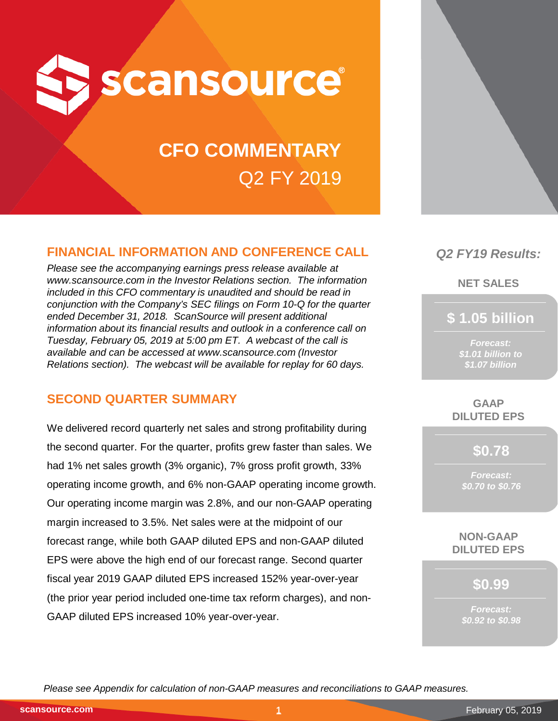

# **CFO COMMENTARY** Q2 FY 2019

# **FINANCIAL INFORMATION AND CONFERENCE CALL**

*Please see the accompanying earnings press release available at www.scansource.com in the Investor Relations section. The information included in this CFO commentary is unaudited and should be read in conjunction with the Company's SEC filings on Form 10-Q for the quarter ended December 31, 2018. ScanSource will present additional information about its financial results and outlook in a conference call on Tuesday, February 05, 2019 at 5:00 pm ET. A webcast of the call is available and can be accessed at www.scansource.com (Investor Relations section). The webcast will be available for replay for 60 days.*

# **SECOND QUARTER SUMMARY**

We delivered record quarterly net sales and strong profitability during the second quarter. For the quarter, profits grew faster than sales. We had 1% net sales growth (3% organic), 7% gross profit growth, 33% operating income growth, and 6% non-GAAP operating income growth. Our operating income margin was 2.8%, and our non-GAAP operating margin increased to 3.5%. Net sales were at the midpoint of our forecast range, while both GAAP diluted EPS and non-GAAP diluted EPS were above the high end of our forecast range. Second quarter fiscal year 2019 GAAP diluted EPS increased 152% year-over-year (the prior year period included one-time tax reform charges), and non-GAAP diluted EPS increased 10% year-over-year.



**NET SALES**

**\$ 1.05 billion**

*Forecast: \$1.01 billion to \$1.07 billion*

**GAAP DILUTED EPS**

**\$0.78**

*Forecast: \$0.70 to \$0.76*

**NON-GAAP DILUTED EPS**

**\$0.99**

*Forecast: \$0.92 to \$0.98*

*Please see Appendix for calculation of non-GAAP measures and reconciliations to GAAP measures.*

**scansource.com**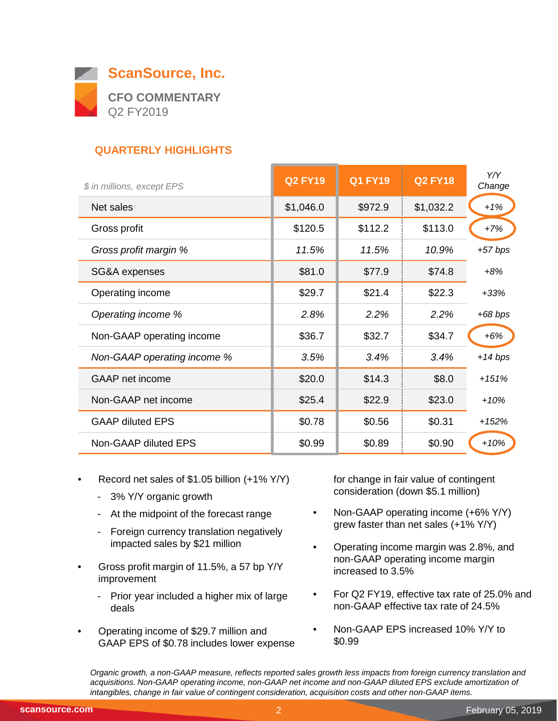

# **QUARTERLY HIGHLIGHTS**

| \$ in millions, except EPS  | <b>Q2 FY19</b> | <b>Q1 FY19</b> | <b>Q2 FY18</b> | Y/Y<br>Change |
|-----------------------------|----------------|----------------|----------------|---------------|
| Net sales                   | \$1,046.0      | \$972.9        | \$1,032.2      | $+1%$         |
| Gross profit                | \$120.5        | \$112.2        | \$113.0        | $+7%$         |
| Gross profit margin %       | 11.5%          | 11.5%          | 10.9%          | $+57$ bps     |
| SG&A expenses               | \$81.0         | \$77.9         | \$74.8         | $+8%$         |
| Operating income            | \$29.7         | \$21.4         | \$22.3         | $+33%$        |
| Operating income %          | 2.8%           | 2.2%           | 2.2%           | $+68$ bps     |
| Non-GAAP operating income   | \$36.7         | \$32.7         | \$34.7         | $+6%$         |
| Non-GAAP operating income % | 3.5%           | 3.4%           | 3.4%           | $+14$ bps     |
| <b>GAAP</b> net income      | \$20.0         | \$14.3         | \$8.0          | $+151%$       |
| Non-GAAP net income         | \$25.4         | \$22.9         | \$23.0         | $+10%$        |
| <b>GAAP diluted EPS</b>     | \$0.78         | \$0.56         | \$0.31         | $+152%$       |
| Non-GAAP diluted EPS        | \$0.99         | \$0.89         | \$0.90         | $+10%$        |

- Record net sales of \$1.05 billion (+1% Y/Y)
	- 3% Y/Y organic growth
	- At the midpoint of the forecast range
	- Foreign currency translation negatively impacted sales by \$21 million
- Gross profit margin of 11.5%, a 57 bp Y/Y improvement
	- Prior year included a higher mix of large deals
- Operating income of \$29.7 million and GAAP EPS of \$0.78 includes lower expense

for change in fair value of contingent consideration (down \$5.1 million)

- Non-GAAP operating income (+6% Y/Y) grew faster than net sales (+1% Y/Y)
- Operating income margin was 2.8%, and non-GAAP operating income margin increased to 3.5%
- For Q2 FY19, effective tax rate of 25.0% and non-GAAP effective tax rate of 24.5%
- Non-GAAP EPS increased 10% Y/Y to \$0.99

*Organic growth, a non-GAAP measure, reflects reported sales growth less impacts from foreign currency translation and acquisitions. Non-GAAP operating income, non-GAAP net income and non-GAAP diluted EPS exclude amortization of intangibles, change in fair value of contingent consideration, acquisition costs and other non-GAAP items.*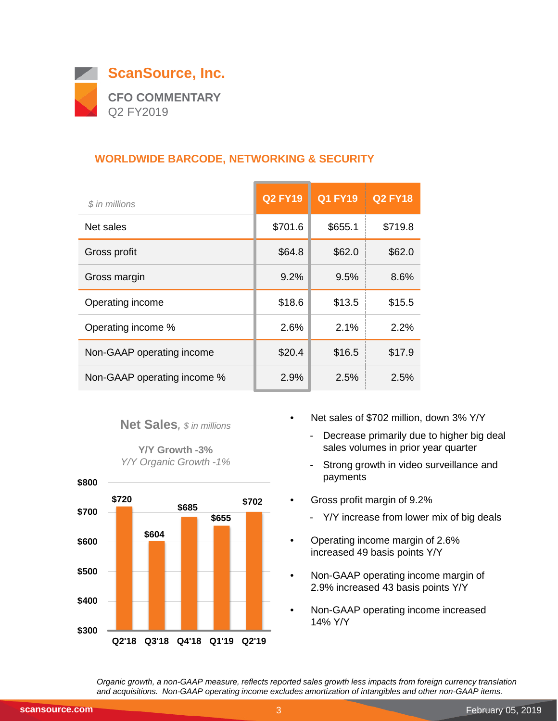

# **WORLDWIDE BARCODE, NETWORKING & SECURITY**

| \$ in millions              | <b>Q2 FY19</b> | <b>Q1 FY19</b> | <b>Q2 FY18</b> |
|-----------------------------|----------------|----------------|----------------|
| Net sales                   | \$701.6        | \$655.1        | \$719.8        |
| Gross profit                | \$64.8         | \$62.0         | \$62.0         |
| Gross margin                | 9.2%           | 9.5%           | 8.6%           |
| Operating income            | \$18.6         | \$13.5         | \$15.5         |
| Operating income %          | 2.6%           | 2.1%           | 2.2%           |
| Non-GAAP operating income   | \$20.4         | \$16.5         | \$17.9         |
| Non-GAAP operating income % | 2.9%           | 2.5%           | 2.5%           |

#### **Net Sales***, \$ in millions*

**Y/Y Growth -3%** *Y/Y Organic Growth -1%*



- Net sales of \$702 million, down 3% Y/Y
	- Decrease primarily due to higher big deal sales volumes in prior year quarter
	- Strong growth in video surveillance and payments
- Gross profit margin of 9.2%
	- Y/Y increase from lower mix of big deals
- Operating income margin of 2.6% increased 49 basis points Y/Y
- Non-GAAP operating income margin of 2.9% increased 43 basis points Y/Y
- Non-GAAP operating income increased 14% Y/Y

*Organic growth, a non-GAAP measure, reflects reported sales growth less impacts from foreign currency translation and acquisitions. Non-GAAP operating income excludes amortization of intangibles and other non-GAAP items.*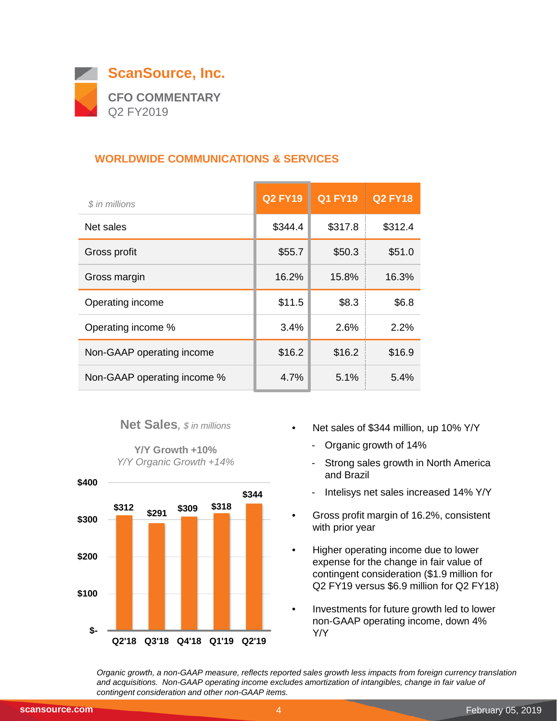

## **WORLDWIDE COMMUNICATIONS & SERVICES**

| \$ in millions              | <b>Q2 FY19</b> | <b>Q1 FY19</b> | <b>Q2 FY18</b> |
|-----------------------------|----------------|----------------|----------------|
| Net sales                   | \$344.4        | \$317.8        | \$312.4        |
| Gross profit                | \$55.7         | \$50.3         | \$51.0         |
| Gross margin                | 16.2%          | 15.8%          | 16.3%          |
| Operating income            | \$11.5         | \$8.3          | \$6.8          |
| Operating income %          | 3.4%           | 2.6%           | 2.2%           |
| Non-GAAP operating income   | \$16.2         | \$16.2         | \$16.9         |
| Non-GAAP operating income % | 4.7%           | 5.1%           | 5.4%           |

#### **Net Sales***, \$ in millions*

**Y/Y Growth +10%** *Y/Y Organic Growth +14%*



- Net sales of \$344 million, up 10% Y/Y
	- Organic growth of 14%
	- Strong sales growth in North America and Brazil
	- Intelisys net sales increased 14% Y/Y
- Gross profit margin of 16.2%, consistent with prior year
- Higher operating income due to lower expense for the change in fair value of contingent consideration (\$1.9 million for Q2 FY19 versus \$6.9 million for Q2 FY18)
- Investments for future growth led to lower non-GAAP operating income, down 4% Y/Y

*Organic growth, a non-GAAP measure, reflects reported sales growth less impacts from foreign currency translation and acquisitions. Non-GAAP operating income excludes amortization of intangibles, change in fair value of contingent consideration and other non-GAAP items.*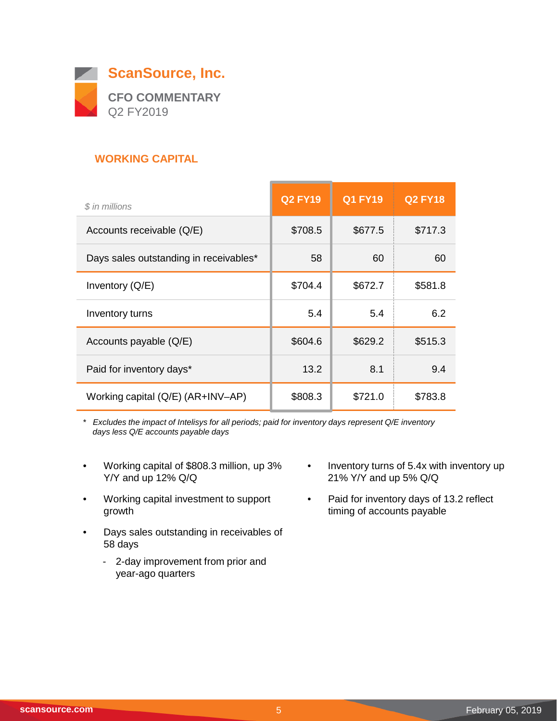

## **WORKING CAPITAL**

| \$ in millions                         | <b>Q2 FY19</b> | <b>Q1 FY19</b> | <b>Q2 FY18</b> |
|----------------------------------------|----------------|----------------|----------------|
| Accounts receivable (Q/E)              | \$708.5        | \$677.5        | \$717.3        |
| Days sales outstanding in receivables* | 58             | 60             | 60             |
| Inventory $(Q/E)$                      | \$704.4        | \$672.7        | \$581.8        |
| Inventory turns                        | 5.4            | 5.4            | 6.2            |
| Accounts payable (Q/E)                 | \$604.6        | \$629.2        | \$515.3        |
| Paid for inventory days*               | 13.2           | 8.1            | 9.4            |
| Working capital (Q/E) (AR+INV-AP)      | \$808.3        | \$721.0        | \$783.8        |

*\* Excludes the impact of Intelisys for all periods; paid for inventory days represent Q/E inventory days less Q/E accounts payable days*

- Working capital of \$808.3 million, up 3% Y/Y and up 12% Q/Q
- Working capital investment to support growth
- Days sales outstanding in receivables of 58 days
	- 2-day improvement from prior and year-ago quarters
- Inventory turns of 5.4x with inventory up 21% Y/Y and up 5% Q/Q
- Paid for inventory days of 13.2 reflect timing of accounts payable

 $\overline{\phantom{0}}$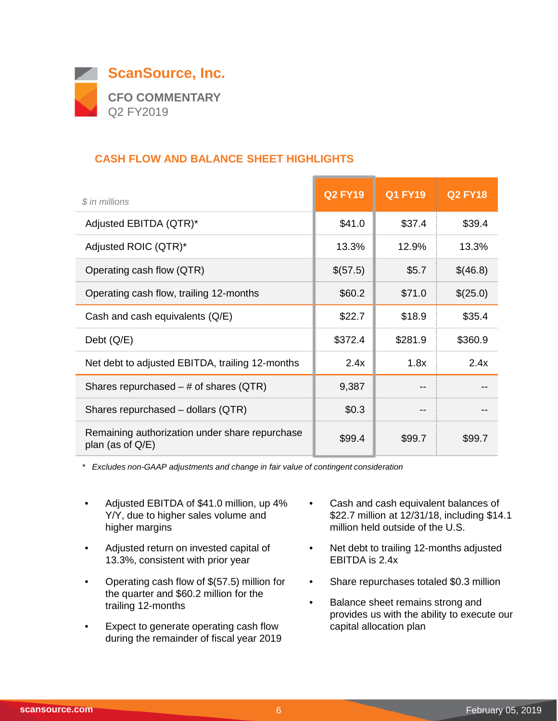

## **CASH FLOW AND BALANCE SHEET HIGHLIGHTS**

| $$$ in millions                                                       | <b>Q2 FY19</b> | <b>Q1 FY19</b> | <b>Q2 FY18</b> |
|-----------------------------------------------------------------------|----------------|----------------|----------------|
| Adjusted EBITDA (QTR)*                                                | \$41.0         | \$37.4         | \$39.4         |
| Adjusted ROIC (QTR)*                                                  | 13.3%          | 12.9%          | 13.3%          |
| Operating cash flow (QTR)                                             | \$(57.5)       | \$5.7          | \$(46.8)       |
| Operating cash flow, trailing 12-months                               | \$60.2         | \$71.0         | \$(25.0)       |
| Cash and cash equivalents (Q/E)                                       | \$22.7         | \$18.9         | \$35.4         |
| Debt $(Q/E)$                                                          | \$372.4        | \$281.9        | \$360.9        |
| Net debt to adjusted EBITDA, trailing 12-months                       | 2.4x           | 1.8x           | 2.4x           |
| Shares repurchased $-$ # of shares (QTR)                              | 9,387          |                |                |
| Shares repurchased - dollars (QTR)                                    | \$0.3          |                |                |
| Remaining authorization under share repurchase<br>plan (as of $Q/E$ ) | \$99.4         | \$99.7         | \$99.7         |

*\* Excludes non-GAAP adjustments and change in fair value of contingent consideration*

- Adjusted EBITDA of \$41.0 million, up 4% Y/Y, due to higher sales volume and higher margins
- Adjusted return on invested capital of 13.3%, consistent with prior year
- Operating cash flow of \$(57.5) million for the quarter and \$60.2 million for the trailing 12-months
- Expect to generate operating cash flow during the remainder of fiscal year 2019
- Cash and cash equivalent balances of \$22.7 million at 12/31/18, including \$14.1 million held outside of the U.S.
- Net debt to trailing 12-months adjusted EBITDA is 2.4x
- Share repurchases totaled \$0.3 million
- Balance sheet remains strong and provides us with the ability to execute our capital allocation plan

 $\overline{\phantom{0}}$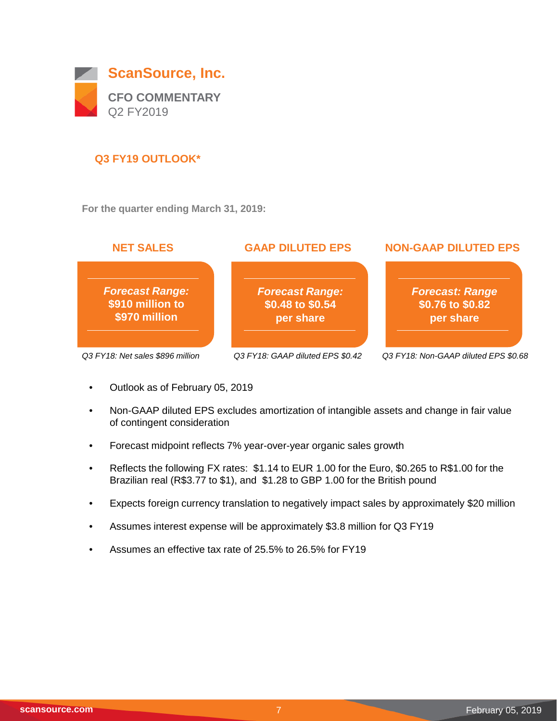

## **Q3 FY19 OUTLOOK\***

**For the quarter ending March 31, 2019:**



- Outlook as of February 05, 2019
- Non-GAAP diluted EPS excludes amortization of intangible assets and change in fair value of contingent consideration
- Forecast midpoint reflects 7% year-over-year organic sales growth
- Reflects the following FX rates: \$1.14 to EUR 1.00 for the Euro, \$0.265 to R\$1.00 for the Brazilian real (R\$3.77 to \$1), and \$1.28 to GBP 1.00 for the British pound
- Expects foreign currency translation to negatively impact sales by approximately \$20 million
- Assumes interest expense will be approximately \$3.8 million for Q3 FY19
- Assumes an effective tax rate of 25.5% to 26.5% for FY19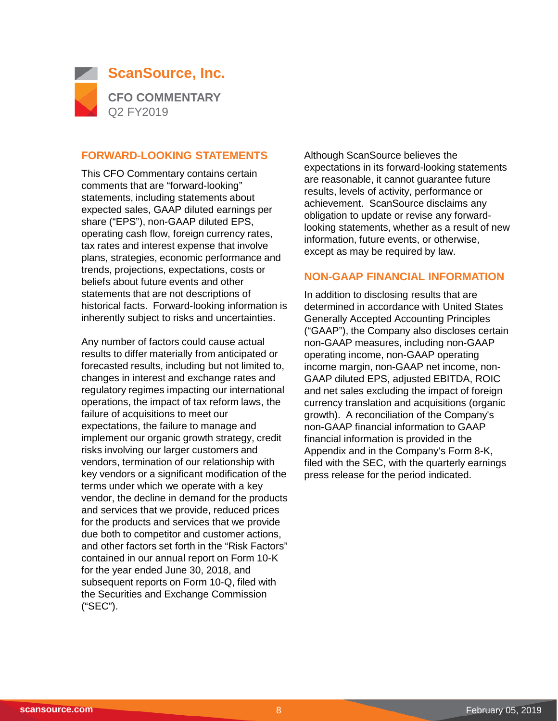

#### **FORWARD-LOOKING STATEMENTS**

This CFO Commentary contains certain comments that are "forward-looking" statements, including statements about expected sales, GAAP diluted earnings per share ("EPS"), non-GAAP diluted EPS, operating cash flow, foreign currency rates, tax rates and interest expense that involve plans, strategies, economic performance and trends, projections, expectations, costs or beliefs about future events and other statements that are not descriptions of historical facts. Forward-looking information is inherently subject to risks and uncertainties.

Any number of factors could cause actual results to differ materially from anticipated or forecasted results, including but not limited to, changes in interest and exchange rates and regulatory regimes impacting our international operations, the impact of tax reform laws, the failure of acquisitions to meet our expectations, the failure to manage and implement our organic growth strategy, credit risks involving our larger customers and vendors, termination of our relationship with key vendors or a significant modification of the terms under which we operate with a key vendor, the decline in demand for the products and services that we provide, reduced prices for the products and services that we provide due both to competitor and customer actions, and other factors set forth in the "Risk Factors" contained in our annual report on Form 10-K for the year ended June 30, 2018, and subsequent reports on Form 10-Q, filed with the Securities and Exchange Commission ("SEC").

Although ScanSource believes the expectations in its forward-looking statements are reasonable, it cannot guarantee future results, levels of activity, performance or achievement. ScanSource disclaims any obligation to update or revise any forwardlooking statements, whether as a result of new information, future events, or otherwise, except as may be required by law.

#### **NON-GAAP FINANCIAL INFORMATION**

In addition to disclosing results that are determined in accordance with United States Generally Accepted Accounting Principles ("GAAP"), the Company also discloses certain non-GAAP measures, including non-GAAP operating income, non-GAAP operating income margin, non-GAAP net income, non-GAAP diluted EPS, adjusted EBITDA, ROIC and net sales excluding the impact of foreign currency translation and acquisitions (organic growth). A reconciliation of the Company's non-GAAP financial information to GAAP financial information is provided in the Appendix and in the Company's Form 8-K, filed with the SEC, with the quarterly earnings press release for the period indicated.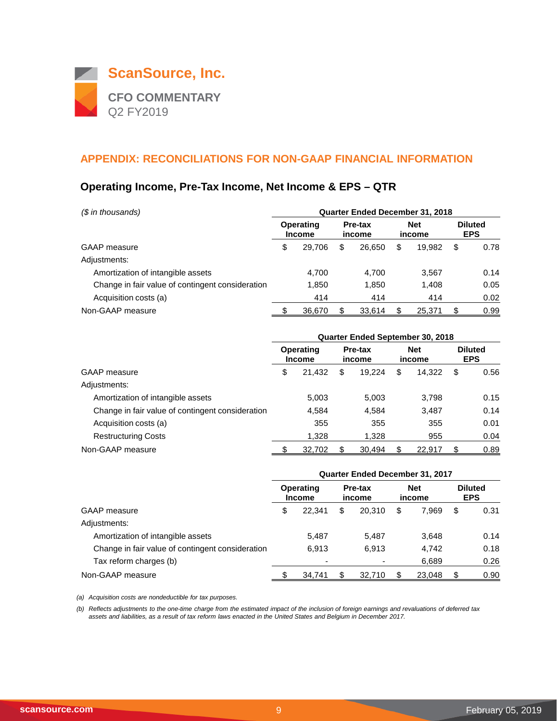

## **Operating Income, Pre-Tax Income, Net Income & EPS – QTR**

| (\$ in thousands)                                | <b>Quarter Ended December 31, 2018</b> |                                   |    |                   |    |                      |   |                              |  |  |
|--------------------------------------------------|----------------------------------------|-----------------------------------|----|-------------------|----|----------------------|---|------------------------------|--|--|
|                                                  |                                        | <b>Operating</b><br><b>Income</b> |    | Pre-tax<br>income |    | <b>Net</b><br>income |   | <b>Diluted</b><br><b>EPS</b> |  |  |
| GAAP measure                                     | \$                                     | 29.706                            | S  | 26.650            | \$ | 19.982               | S | 0.78                         |  |  |
| Adjustments:                                     |                                        |                                   |    |                   |    |                      |   |                              |  |  |
| Amortization of intangible assets                |                                        | 4.700                             |    | 4.700             |    | 3,567                |   | 0.14                         |  |  |
| Change in fair value of contingent consideration |                                        | 1,850                             |    | 1,850             |    | 1.408                |   | 0.05                         |  |  |
| Acquisition costs (a)                            |                                        | 414                               |    | 414               |    | 414                  |   | 0.02                         |  |  |
| Non-GAAP measure                                 |                                        | 36,670                            | \$ | 33.614            |    | 25.371               |   | 0.99                         |  |  |

|                                                  | <b>Quarter Ended September 30, 2018</b> |                            |                   |        |                      |        |                              |      |
|--------------------------------------------------|-----------------------------------------|----------------------------|-------------------|--------|----------------------|--------|------------------------------|------|
|                                                  |                                         | Operating<br><b>Income</b> | Pre-tax<br>income |        | <b>Net</b><br>income |        | <b>Diluted</b><br><b>EPS</b> |      |
| <b>GAAP</b> measure                              | \$                                      | 21,432                     | \$                | 19.224 | \$                   | 14.322 | S                            | 0.56 |
| Adjustments:                                     |                                         |                            |                   |        |                      |        |                              |      |
| Amortization of intangible assets                |                                         | 5,003                      |                   | 5,003  |                      | 3.798  |                              | 0.15 |
| Change in fair value of contingent consideration |                                         | 4,584                      |                   | 4,584  |                      | 3,487  |                              | 0.14 |
| Acquisition costs (a)                            |                                         | 355                        |                   | 355    |                      | 355    |                              | 0.01 |
| <b>Restructuring Costs</b>                       |                                         | 1,328                      |                   | 1,328  |                      | 955    |                              | 0.04 |
| Non-GAAP measure                                 |                                         | 32,702                     |                   | 30,494 |                      | 22,917 |                              | 0.89 |

|                                                  | <b>Quarter Ended December 31, 2017</b> |                            |    |                          |   |                      |    |                              |  |
|--------------------------------------------------|----------------------------------------|----------------------------|----|--------------------------|---|----------------------|----|------------------------------|--|
|                                                  |                                        | Operating<br><b>Income</b> |    | <b>Pre-tax</b><br>income |   | <b>Net</b><br>income |    | <b>Diluted</b><br><b>EPS</b> |  |
| <b>GAAP</b> measure                              | \$                                     | 22.341                     | \$ | 20.310                   | S | 7.969                | \$ | 0.31                         |  |
| Adjustments:                                     |                                        |                            |    |                          |   |                      |    |                              |  |
| Amortization of intangible assets                |                                        | 5.487                      |    | 5,487                    |   | 3.648                |    | 0.14                         |  |
| Change in fair value of contingent consideration |                                        | 6.913                      |    | 6.913                    |   | 4,742                |    | 0.18                         |  |
| Tax reform charges (b)                           |                                        |                            |    |                          |   | 6.689                |    | 0.26                         |  |
| Non-GAAP measure                                 |                                        | 34.741                     |    | 32.710                   |   | 23.048               |    | 0.90                         |  |

*(a) Acquisition costs are nondeductible for tax purposes.*

*(b) Reflects adjustments to the one-time charge from the estimated impact of the inclusion of foreign earnings and revaluations of deferred tax assets and liabilities, as a result of tax reform laws enacted in the United States and Belgium in December 2017.*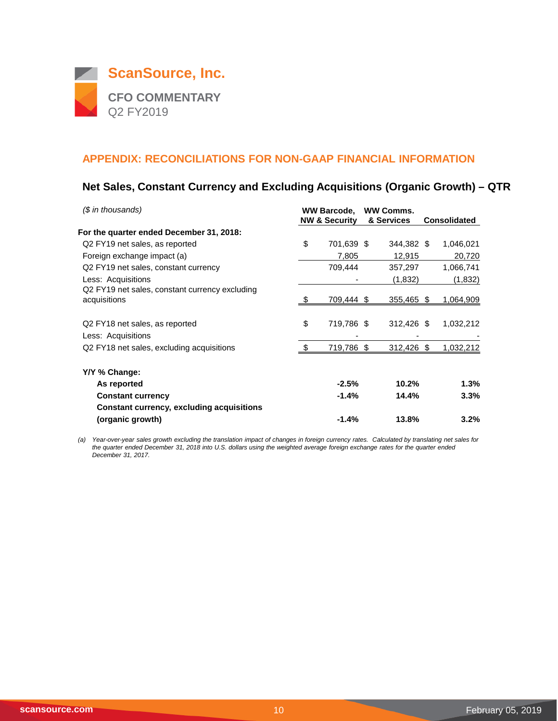

## **Net Sales, Constant Currency and Excluding Acquisitions (Organic Growth) – QTR**

| (\$ in thousands)                                |      | <b>WW Barcode,</b>       | <b>WW Comms.</b> |                     |                  |
|--------------------------------------------------|------|--------------------------|------------------|---------------------|------------------|
|                                                  |      | <b>NW &amp; Security</b> | & Services       | <b>Consolidated</b> |                  |
| For the quarter ended December 31, 2018:         |      |                          |                  |                     |                  |
| Q2 FY19 net sales, as reported                   | \$   | 701,639 \$               | 344,382 \$       |                     | 1,046,021        |
| Foreign exchange impact (a)                      |      | 7,805                    | 12,915           |                     | 20,720           |
| Q2 FY19 net sales, constant currency             |      | 709,444                  | 357,297          |                     | 1,066,741        |
| Less: Acquisitions                               |      |                          | (1,832)          |                     | (1,832)          |
| Q2 FY19 net sales, constant currency excluding   |      |                          |                  |                     |                  |
| acquisitions                                     | - \$ | 709,444 \$               | 355,465 \$       |                     | 1,064,909        |
|                                                  |      |                          |                  |                     |                  |
| Q2 FY18 net sales, as reported                   | \$   | 719,786 \$               | 312,426 \$       |                     | 1,032,212        |
| Less: Acquisitions                               |      |                          |                  |                     |                  |
| Q2 FY18 net sales, excluding acquisitions        | - \$ | 719,786 \$               | $312,426$ \$     |                     | <u>1,032,212</u> |
| Y/Y % Change:                                    |      |                          |                  |                     |                  |
| As reported                                      |      | $-2.5%$                  | 10.2%            |                     | 1.3%             |
| <b>Constant currency</b>                         |      | $-1.4%$                  | 14.4%            |                     | 3.3%             |
| <b>Constant currency, excluding acquisitions</b> |      |                          |                  |                     |                  |
| (organic growth)                                 |      | $-1.4%$                  | 13.8%            |                     | 3.2%             |

*(a) Year-over-year sales growth excluding the translation impact of changes in foreign currency rates. Calculated by translating net sales for the quarter ended December 31, 2018 into U.S. dollars using the weighted average foreign exchange rates for the quarter ended December 31, 2017.*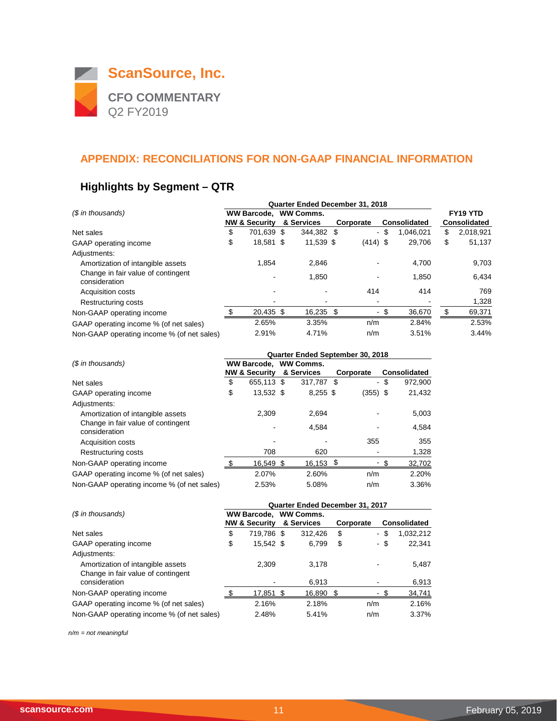

## **Highlights by Segment – QTR**

|                                                     | Quarter Ended December 31, 2018 |                          |                  |            |  |            |    |              |    |                      |
|-----------------------------------------------------|---------------------------------|--------------------------|------------------|------------|--|------------|----|--------------|----|----------------------|
| (\$ in thousands)                                   | <b>WW Barcode.</b>              |                          | <b>WW Comms.</b> |            |  |            |    |              |    | FY <sub>19</sub> YTD |
|                                                     |                                 | <b>NW &amp; Security</b> |                  | & Services |  | Corporate  |    | Consolidated |    | Consolidated         |
| Net sales                                           | \$                              | 701.639                  | \$               | 344,382 \$ |  | $\sim$     | \$ | 1,046,021    | \$ | 2,018,921            |
| GAAP operating income                               | \$                              | 18,581 \$                |                  | 11,539 \$  |  | $(414)$ \$ |    | 29,706       | \$ | 51,137               |
| Adjustments:                                        |                                 |                          |                  |            |  |            |    |              |    |                      |
| Amortization of intangible assets                   |                                 | 1.854                    |                  | 2,846      |  |            |    | 4,700        |    | 9,703                |
| Change in fair value of contingent<br>consideration |                                 |                          |                  | 1,850      |  |            |    | 1,850        |    | 6,434                |
| <b>Acquisition costs</b>                            |                                 |                          |                  |            |  | 414        |    | 414          |    | 769                  |
| Restructuring costs                                 |                                 |                          |                  |            |  |            |    |              |    | 1,328                |
| Non-GAAP operating income                           |                                 | 20,435 \$                |                  | 16,235 \$  |  | $\sim$     |    | 36,670       | \$ | 69,371               |
| GAAP operating income % (of net sales)              |                                 | 2.65%                    |                  | 3.35%      |  | n/m        |    | 2.84%        |    | 2.53%                |
| Non-GAAP operating income % (of net sales)          |                                 | 2.91%                    |                  | 4.71%      |  | n/m        |    | 3.51%        |    | 3.44%                |

|                                                     | Quarter Ended September 30, 2018 |                          |  |                       |  |            |      |                     |  |
|-----------------------------------------------------|----------------------------------|--------------------------|--|-----------------------|--|------------|------|---------------------|--|
| (\$ in thousands)                                   |                                  |                          |  | WW Barcode. WW Comms. |  |            |      |                     |  |
|                                                     |                                  | <b>NW &amp; Security</b> |  | & Services            |  | Corporate  |      | <b>Consolidated</b> |  |
| Net sales                                           | \$                               | 655,113 \$               |  | 317.787 \$            |  |            | - \$ | 972,900             |  |
| GAAP operating income                               | \$                               | 13,532 \$                |  | $8,255$ \$            |  | $(355)$ \$ |      | 21,432              |  |
| Adjustments:                                        |                                  |                          |  |                       |  |            |      |                     |  |
| Amortization of intangible assets                   |                                  | 2,309                    |  | 2,694                 |  |            |      | 5,003               |  |
| Change in fair value of contingent<br>consideration |                                  |                          |  | 4,584                 |  |            |      | 4,584               |  |
| <b>Acquisition costs</b>                            |                                  |                          |  |                       |  | 355        |      | 355                 |  |
| Restructuring costs                                 |                                  | 708                      |  | 620                   |  |            |      | 1,328               |  |
| Non-GAAP operating income                           |                                  | 16,549 \$                |  | $16,153$ \$           |  |            |      | 32,702              |  |
| GAAP operating income % (of net sales)              |                                  | 2.07%                    |  | 2.60%                 |  | n/m        |      | 2.20%               |  |
| Non-GAAP operating income % (of net sales)          |                                  | 2.53%                    |  | 5.08%                 |  | n/m        |      | 3.36%               |  |

|                                                                         | Quarter Ended December 31, 2017 |                          |  |                       |           |        |     |              |  |  |
|-------------------------------------------------------------------------|---------------------------------|--------------------------|--|-----------------------|-----------|--------|-----|--------------|--|--|
| (\$ in thousands)                                                       |                                 |                          |  | WW Barcode, WW Comms. |           |        |     |              |  |  |
|                                                                         |                                 | <b>NW &amp; Security</b> |  | & Services            | Corporate |        |     | Consolidated |  |  |
| Net sales                                                               | \$                              | 719,786 \$               |  | 312,426               | \$        | $\sim$ | -\$ | 1,032,212    |  |  |
| GAAP operating income                                                   | \$                              | 15,542 \$                |  | 6,799                 | \$        | - \$   |     | 22,341       |  |  |
| Adjustments:                                                            |                                 |                          |  |                       |           |        |     |              |  |  |
| Amortization of intangible assets<br>Change in fair value of contingent |                                 | 2.309                    |  | 3.178                 |           |        |     | 5,487        |  |  |
| consideration                                                           |                                 |                          |  | 6,913                 |           |        |     | 6,913        |  |  |
| Non-GAAP operating income                                               |                                 | 17,851 \$                |  | 16,890 \$             |           |        |     | 34,741       |  |  |
| GAAP operating income % (of net sales)                                  |                                 | 2.16%                    |  | 2.18%                 |           | n/m    |     | 2.16%        |  |  |
| Non-GAAP operating income % (of net sales)                              |                                 | 2.48%                    |  | 5.41%                 |           | n/m    |     | 3.37%        |  |  |

*n/m = not meaningful*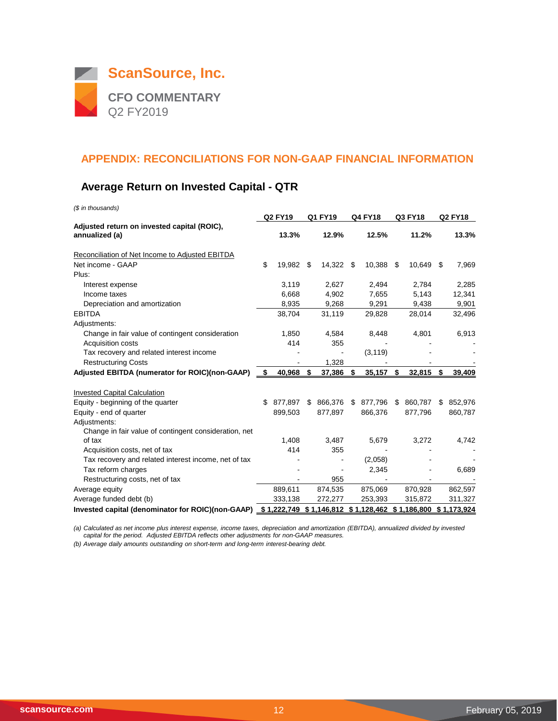

## **Average Return on Invested Capital - QTR**

*(\$ in thousands)*

|                                                       |     | <b>Q2 FY19</b> |     | Q1 FY19 |      | <b>Q4 FY18</b> | Q3 FY18                                                          |     | <b>Q2 FY18</b> |
|-------------------------------------------------------|-----|----------------|-----|---------|------|----------------|------------------------------------------------------------------|-----|----------------|
| Adjusted return on invested capital (ROIC),           |     |                |     |         |      |                |                                                                  |     |                |
| annualized (a)                                        |     | 13.3%          |     | 12.9%   |      | 12.5%          | 11.2%                                                            |     | 13.3%          |
| Reconciliation of Net Income to Adjusted EBITDA       |     |                |     |         |      |                |                                                                  |     |                |
| Net income - GAAP                                     | \$  | 19,982         | -\$ | 14,322  | - \$ | 10,388         | \$<br>10,649                                                     | -\$ | 7,969          |
| Plus:                                                 |     |                |     |         |      |                |                                                                  |     |                |
| Interest expense                                      |     | 3,119          |     | 2,627   |      | 2,494          | 2,784                                                            |     | 2,285          |
| Income taxes                                          |     | 6.668          |     | 4,902   |      | 7,655          | 5,143                                                            |     | 12,341         |
| Depreciation and amortization                         |     | 8,935          |     | 9,268   |      | 9,291          | 9,438                                                            |     | 9,901          |
| <b>EBITDA</b>                                         |     | 38,704         |     | 31,119  |      | 29,828         | 28,014                                                           |     | 32,496         |
| Adjustments:                                          |     |                |     |         |      |                |                                                                  |     |                |
| Change in fair value of contingent consideration      |     | 1,850          |     | 4,584   |      | 8,448          | 4,801                                                            |     | 6,913          |
| Acquisition costs                                     |     | 414            |     | 355     |      |                |                                                                  |     |                |
| Tax recovery and related interest income              |     |                |     |         |      | (3, 119)       |                                                                  |     |                |
| <b>Restructuring Costs</b>                            |     |                |     | 1,328   |      |                |                                                                  |     |                |
| Adjusted EBITDA (numerator for ROIC)(non-GAAP)        | \$  | 40,968         | -\$ | 37,386  | \$   | 35,157         | \$<br>32,815                                                     | \$  | 39,409         |
| <b>Invested Capital Calculation</b>                   |     |                |     |         |      |                |                                                                  |     |                |
| Equity - beginning of the quarter                     | \$. | 877.897        | \$  | 866.376 | -\$  | 877,796        | \$<br>860.787                                                    | \$  | 852,976        |
| Equity - end of quarter                               |     | 899,503        |     | 877,897 |      | 866,376        | 877,796                                                          |     | 860,787        |
| Adjustments:                                          |     |                |     |         |      |                |                                                                  |     |                |
| Change in fair value of contingent consideration, net |     |                |     |         |      |                |                                                                  |     |                |
| of tax                                                |     | 1.408          |     | 3,487   |      | 5,679          | 3,272                                                            |     | 4,742          |
| Acquisition costs, net of tax                         |     | 414            |     | 355     |      |                |                                                                  |     |                |
| Tax recovery and related interest income, net of tax  |     |                |     |         |      | (2,058)        |                                                                  |     |                |
| Tax reform charges                                    |     |                |     |         |      | 2,345          |                                                                  |     | 6,689          |
| Restructuring costs, net of tax                       |     |                |     | 955     |      |                |                                                                  |     |                |
| Average equity                                        |     | 889,611        |     | 874,535 |      | 875,069        | 870,928                                                          |     | 862,597        |
| Average funded debt (b)                               |     | 333,138        |     | 272,277 |      | 253,393        | 315,872                                                          |     | 311,327        |
| Invested capital (denominator for ROIC)(non-GAAP)     |     |                |     |         |      |                | $$1,222,749$ $$1,146,812$ $$1,128,462$ $$1,186,800$ $$1,173,924$ |     |                |

*(a) Calculated as net income plus interest expense, income taxes, depreciation and amortization (EBITDA), annualized divided by invested capital for the period. Adjusted EBITDA reflects other adjustments for non-GAAP measures.*

*(b) Average daily amounts outstanding on short-term and long-term interest-bearing debt.*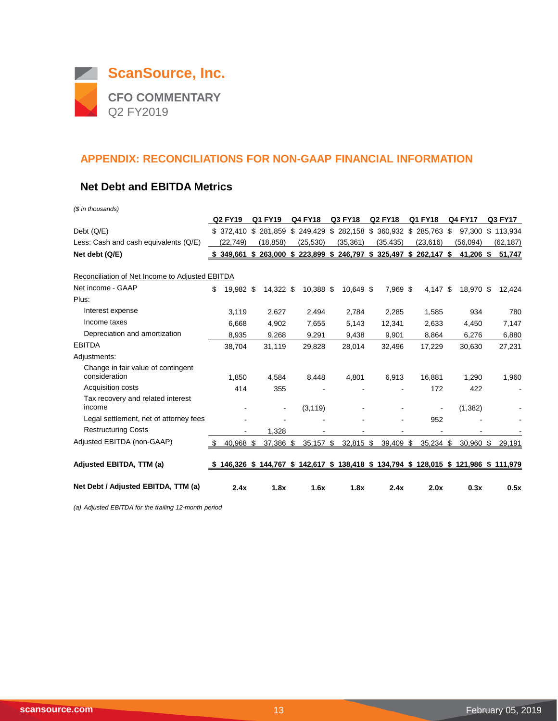

#### **Net Debt and EBITDA Metrics**

*(\$ in thousands)*

|                                                     | Q2 FY19           | Q1 FY19   | <b>Q4 FY18</b>      | Q3 FY18   | <b>Q2 FY18</b>                                                        | Q1 FY18   | <b>Q4 FY17</b>                                                                          | Q3 FY17   |
|-----------------------------------------------------|-------------------|-----------|---------------------|-----------|-----------------------------------------------------------------------|-----------|-----------------------------------------------------------------------------------------|-----------|
| Debt (Q/E)                                          | \$372.410         |           | \$281,859 \$249,429 |           | \$282,158 \$360,932 \$285,763 \$                                      |           | 97.300                                                                                  | \$113,934 |
| Less: Cash and cash equivalents (Q/E)               | (22,749)          | (18, 858) | (25, 530)           | (35, 361) | (35, 435)                                                             | (23, 616) | (56,094)                                                                                | (62, 187) |
| Net debt (Q/E)                                      |                   |           |                     |           | $$349,661$ $$263,000$ $$223,899$ $$246,797$ $$325,497$ $$262,147$ $$$ |           | 41,206 \$                                                                               | 51,747    |
| Reconciliation of Net Income to Adjusted EBITDA     |                   |           |                     |           |                                                                       |           |                                                                                         |           |
| Net income - GAAP                                   | \$<br>19,982 \$   | 14,322 \$ | 10,388 \$           | 10,649 \$ | 7,969 \$                                                              | 4,147 \$  | 18,970 \$                                                                               | 12,424    |
| Plus:                                               |                   |           |                     |           |                                                                       |           |                                                                                         |           |
| Interest expense                                    | 3,119             | 2,627     | 2,494               | 2,784     | 2,285                                                                 | 1,585     | 934                                                                                     | 780       |
| Income taxes                                        | 6,668             | 4.902     | 7,655               | 5,143     | 12,341                                                                | 2,633     | 4.450                                                                                   | 7,147     |
| Depreciation and amortization                       | 8,935             | 9,268     | 9,291               | 9,438     | 9,901                                                                 | 8,864     | 6,276                                                                                   | 6,880     |
| <b>EBITDA</b>                                       | 38,704            | 31,119    | 29,828              | 28,014    | 32,496                                                                | 17,229    | 30,630                                                                                  | 27,231    |
| Adjustments:                                        |                   |           |                     |           |                                                                       |           |                                                                                         |           |
| Change in fair value of contingent<br>consideration | 1.850             | 4.584     | 8,448               | 4,801     | 6,913                                                                 | 16.881    | 1.290                                                                                   | 1,960     |
| Acquisition costs                                   | 414               | 355       |                     |           |                                                                       | 172       | 422                                                                                     |           |
| Tax recovery and related interest<br>income         |                   |           | (3, 119)            |           |                                                                       |           | (1, 382)                                                                                |           |
| Legal settlement, net of attorney fees              |                   |           |                     |           |                                                                       | 952       |                                                                                         |           |
| <b>Restructuring Costs</b>                          |                   | 1,328     |                     |           |                                                                       |           |                                                                                         |           |
| Adjusted EBITDA (non-GAAP)                          | 40,968 \$<br>- \$ | 37,386 \$ | 35,157 \$           | 32,815 \$ | 39,409 \$                                                             | 35,234 \$ | $30,960$ \$                                                                             | 29,191    |
| Adjusted EBITDA, TTM (a)                            |                   |           |                     |           |                                                                       |           | \$ 146,326 \$ 144,767 \$ 142,617 \$ 138,418 \$ 134,794 \$ 128,015 \$ 121,986 \$ 111,979 |           |
| Net Debt / Adjusted EBITDA, TTM (a)                 | 2.4x              | 1.8x      | 1.6x                | 1.8x      | 2.4x                                                                  | 2.0x      | 0.3x                                                                                    | 0.5x      |

*(a) Adjusted EBITDA for the trailing 12-month period*